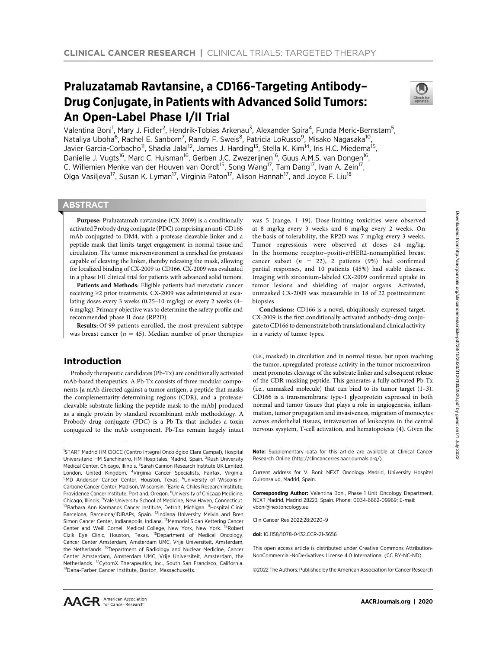# Praluzatamab Ravtansine, a CD166-Targeting Antibody– Drug Conjugate, in Patients with Advanced Solid Tumors: An Open-Label Phase I/II Trial



Valentina Boni<sup>1</sup>, Mary J. Fidler<sup>2</sup>, Hendrik-Tobias Arkenau<sup>3</sup>, Alexander Spira<sup>4</sup>, Funda Meric-Bernstam<sup>5</sup>, Nataliya Uboha<sup>6</sup>, Rachel E. Sanborn<sup>7</sup>, Randy F. Sweis<sup>8</sup>, Patricia LoRusso<sup>9</sup>, Misako Nagasaka<sup>10</sup>, Javier Garcia-Corbacho<sup>11</sup>, Shadia Jalal<sup>12</sup>, James J. Harding<sup>13</sup>, Stella K. Kim<sup>14</sup>, Iris H.C. Miedema<sup>15</sup>, Danielle J. Vugts<sup>16</sup>, Marc C. Huisman<sup>16</sup>, Gerben J.C. Zwezerijnen<sup>16</sup>, Guus A.M.S. van Dongen<sup>16</sup>, C. Willemien Menke van der Houven van Oordt<sup>15</sup>, Song Wang<sup>17</sup>, Tam Dang<sup>17</sup>, Ivan A. Zein<sup>17</sup>, Olga Vasiljeva<sup>17</sup>, Susan K. Lyman<sup>17</sup>, Virginia Paton<sup>17</sup>, Alison Hannah<sup>17</sup>, and Joyce F. Liu<sup>18</sup>

# **ABSTRACT**

◥

Purpose: Praluzatamab ravtansine (CX-2009) is a conditionally activated Probody drug conjugate (PDC) comprising an anti-CD166 mAb conjugated to DM4, with a protease-cleavable linker and a peptide mask that limits target engagement in normal tissue and circulation. The tumor microenvironment is enriched for proteases capable of cleaving the linker, thereby releasing the mask, allowing for localized binding of CX-2009 to CD166. CX-2009 was evaluated in a phase I/II clinical trial for patients with advanced solid tumors.

Patients and Methods: Eligible patients had metastatic cancer receiving ≥2 prior treatments. CX-2009 was administered at escalating doses every 3 weeks (0.25–10 mg/kg) or every 2 weeks (4– 6 mg/kg). Primary objective was to determine the safety profile and recommended phase II dose (RP2D).

Results: Of 99 patients enrolled, the most prevalent subtype was breast cancer ( $n = 45$ ). Median number of prior therapies

# Introduction

Probody therapeutic candidates (Pb-Tx) are conditionally activated mAb-based therapeutics. A Pb-Tx consists of three modular components [a mAb directed against a tumor antigen, a peptide that masks the complementarity-determining regions (CDR), and a proteasecleavable substrate linking the peptide mask to the mAb] produced as a single protein by standard recombinant mAb methodology. A Probody drug conjugate (PDC) is a Pb-Tx that includes a toxin conjugated to the mAb component. Pb-Txs remain largely intact

was 5 (range, 1–19). Dose-limiting toxicities were observed at 8 mg/kg every 3 weeks and 6 mg/kg every 2 weeks. On the basis of tolerability, the RP2D was 7 mg/kg every 3 weeks. Tumor regressions were observed at doses ≥4 mg/kg. In the hormone receptor–positive/HER2-nonamplified breast cancer subset ( $n = 22$ ), 2 patients (9%) had confirmed partial responses, and 10 patients (45%) had stable disease. Imaging with zirconium-labeled CX-2009 confirmed uptake in tumor lesions and shielding of major organs. Activated, unmasked CX-2009 was measurable in 18 of 22 posttreatment biopsies.

Conclusions: CD166 is a novel, ubiquitously expressed target. CX-2009 is the first conditionally activated antibody–drug conjugate to CD166 to demonstrate both translational and clinical activity in a variety of tumor types.

(i.e., masked) in circulation and in normal tissue, but upon reaching the tumor, upregulated protease activity in the tumor microenvironment promotes cleavage of the substrate linker and subsequent release of the CDR-masking peptide. This generates a fully activated Pb-Tx (i.e., unmasked molecule) that can bind to its tumor target (1–3). CD166 is a transmembrane type-1 glycoprotein expressed in both normal and tumor tissues that plays a role in angiogenesis, inflammation, tumor propagation and invasiveness, migration of monocytes across endothelial tissues, intravasation of leukocytes in the central nervous sysytem, T-cell activation, and hematopoiesis (4). Given the

Note: Supplementary data for this article are available at Clinical Cancer Research Online (http://clincancerres.aacrjournals.org/).

Current address for V. Boni: NEXT Oncology Madrid, University Hospital Quironsalud, Madrid, Spain.

Corresponding Author: Valentina Boni, Phase 1 Unit Oncology Department, NEXT Madrid, Madrid 28223, Spain. Phone: 0034-6662-09969; E-mail: vboni@nextoncology.eu

Clin Cancer Res 2022;28:2020–9

doi: 10.1158/1078-0432.CCR-21-3656

This open access article is distributed under Creative Commons Attribution-NonCommercial-NoDerivatives License 4.0 International (CC BY-NC-ND).

2022 The Authors; Published by the American Association for Cancer Research

<sup>&</sup>lt;sup>1</sup>START Madrid HM CIOCC (Centro Integral Oncológico Clara Campal), Hospital Universitario HM Sanchinarro, HM Hospitales, Madrid, Spain. <sup>2</sup>Rush University Medical Center, Chicago, Illinois. <sup>3</sup>Sarah Cannon Research Institute UK Limited, London, United Kingdom. <sup>4</sup>Virginia Cancer Specialists, Fairfax, Virginia. <sup>5</sup>MD Anderson Cancer Center, Houston, Texas. <sup>6</sup>University of Wisconsin-Carbone Cancer Center, Madison, Wisconsin. <sup>7</sup> Earle A. Chiles Research Institute, Providence Cancer Institute, Portland, Oregon. <sup>8</sup>University of Chicago Medicine, Chicago, Illinois. <sup>9</sup> Yale University School of Medicine, New Haven, Connecticut. <sup>10</sup>Barbara Ann Karmanos Cancer Institute, Detroit, Michigan. <sup>11</sup>Hospital Clinic Barcelona, Barcelona/IDIBAPs, Spain. <sup>12</sup>Indiana University Melvin and Bren Simon Cancer Center, Indianapolis, Indiana. <sup>13</sup>Memorial Sloan Kettering Cancer Center and Weill Cornell Medical College, New York, New York. 14Robert Cizik Eye Clinic, Houston, Texas. 15Department of Medical Oncology, Cancer Center Amsterdam, Amsterdam UMC, Vrije Universiteit, Amsterdam, the Netherlands. <sup>16</sup>Department of Radiology and Nuclear Medicine, Cancer Center Amsterdam, Amsterdam UMC, Vrije Universiteit, Amsterdam, the Netherlands. 17CytomX Therapeutics, Inc., South San Francisco, California. <sup>18</sup>Dana-Farber Cancer Institute, Boston, Massachusetts.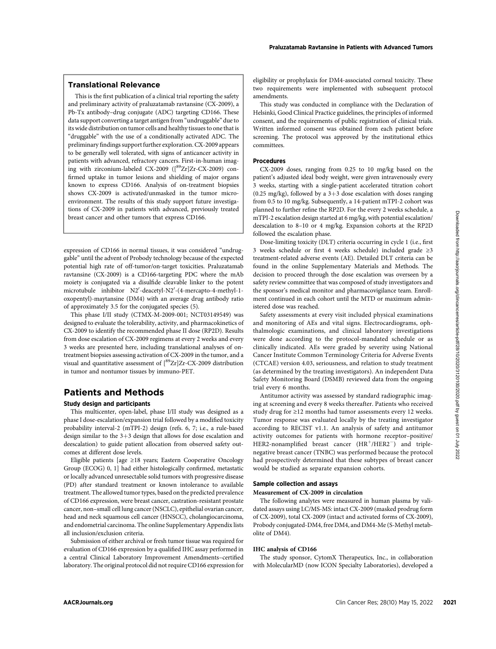This is the first publication of a clinical trial reporting the safety and preliminary activity of praluzatamab ravtansine (CX-2009), a Pb-Tx antibody–drug conjugate (ADC) targeting CD166. These data support converting a target antigen from "undruggable" due to its wide distribution on tumor cells and healthy tissues to one that is "druggable" with the use of a conditionally activated ADC. The preliminary findings support further exploration. CX-2009 appears to be generally well tolerated, with signs of anticancer activity in patients with advanced, refractory cancers. First-in-human imaging with zirconium-labeled  $CX-2009$  ( $\binom{89}{2}Zr$ ] $Zr-CX-2009$ ) confirmed uptake in tumor lesions and shielding of major organs known to express CD166. Analysis of on-treatment biopsies shows CX-2009 is activated/unmasked in the tumor microenvironment. The results of this study support future investigations of CX-2009 in patients with advanced, previously treated breast cancer and other tumors that express CD166.

Translational Relevance

expression of CD166 in normal tissues, it was considered "undruggable" until the advent of Probody technology because of the expected potential high rate of off-tumor/on-target toxicities. Praluzatamab ravtansine (CX-2009) is a CD166-targeting PDC where the mAb moiety is conjugated via a disulfide cleavable linker to the potent microtubule inhibitor N2'-deacetyl-N2'-(4-mercapto-4-methyl-1oxopentyl)-maytansine (DM4) with an average drug antibody ratio of approximately 3.5 for the conjugated species (5).

This phase I/II study (CTMX-M-2009-001; NCT03149549) was designed to evaluate the tolerability, activity, and pharmacokinetics of CX-2009 to identify the recommended phase II dose (RP2D). Results from dose escalation of CX-2009 regimens at every 2 weeks and every 3 weeks are presented here, including translational analyses of ontreatment biopsies assessing activation of CX-2009 in the tumor, and a visual and quantitative assessment of  $\binom{89}{2}$ T|Zr-CX-2009 distribution in tumor and nontumor tissues by immuno-PET.

# Patients and Methods

#### Study design and participants

This multicenter, open-label, phase I/II study was designed as a phase I dose-escalation/expansion trial followed by a modified toxicity probability interval-2 (mTPI-2) design (refs. 6, 7; i.e., a rule-based design similar to the  $3+3$  design that allows for dose escalation and deescalation) to guide patient allocation from observed safety outcomes at different dose levels.

Eligible patients [age ≥18 years; Eastern Cooperative Oncology Group (ECOG) 0, 1] had either histologically confirmed, metastatic or locally advanced unresectable solid tumors with progressive disease (PD) after standard treatment or known intolerance to available treatment. The allowed tumor types, based on the predicted prevalence of CD166 expression, were breast cancer, castration-resistant prostate cancer, non–small cell lung cancer (NSCLC), epithelial ovarian cancer, head and neck squamous cell cancer (HNSCC), cholangiocarcinoma, and endometrial carcinoma. The online Supplementary Appendix lists all inclusion/exclusion criteria. because under the correspondent interaction of the state of the clinical state of the combined from the state of the combined from the state of the combined from the state of the combined from the state of the state of th

Submission of either archival or fresh tumor tissue was required for evaluation of CD166 expression by a qualified IHC assay performed in a central Clinical Laboratory Improvement Amendments–certified laboratory. The original protocol did not require CD166 expression for eligibility or prophylaxis for DM4-associated corneal toxicity. These two requirements were implemented with subsequent protocol amendments.

This study was conducted in compliance with the Declaration of Helsinki, Good Clinical Practice guidelines, the principles of informed consent, and the requirements of public registration of clinical trials. Written informed consent was obtained from each patient before screening. The protocol was approved by the institutional ethics committees.

#### **Procedures**

CX-2009 doses, ranging from 0.25 to 10 mg/kg based on the patient's adjusted ideal body weight, were given intravenously every 3 weeks, starting with a single-patient accelerated titration cohort (0.25 mg/kg), followed by a  $3+3$  dose escalation with doses ranging from 0.5 to 10 mg/kg. Subsequently, a 14-patient mTPI-2 cohort was planned to further refine the RP2D. For the every 2 weeks schedule, a mTPI-2 escalation design started at 6 mg/kg, with potential escalation/ deescalation to 8–10 or 4 mg/kg. Expansion cohorts at the RP2D followed the escalation phase.

Dose-limiting toxicity (DLT) criteria occurring in cycle 1 (i.e., first 3 weeks schedule or first 4 weeks schedule) included grade ≥3 treatment-related adverse events (AE). Detailed DLT criteria can be found in the online Supplementary Materials and Methods. The decision to proceed through the dose escalation was overseen by a safety review committee that was composed of study investigators and the sponsor's medical monitor and pharmacovigilance team. Enrollment continued in each cohort until the MTD or maximum administered dose was reached.

Safety assessments at every visit included physical examinations and monitoring of AEs and vital signs. Electrocardiograms, ophthalmologic examinations, and clinical laboratory investigations were done according to the protocol-mandated schedule or as clinically indicated. AEs were graded by severity using National Cancer Institute Common Terminology Criteria for Adverse Events (CTCAE) version 4.03, seriousness, and relation to study treatment (as determined by the treating investigators). An independent Data Safety Monitoring Board (DSMB) reviewed data from the ongoing trial every 6 months.

Antitumor activity was assessed by standard radiographic imaging at screening and every 8 weeks thereafter. Patients who received study drug for ≥12 months had tumor assessments every 12 weeks. Tumor response was evaluated locally by the treating investigator according to RECIST v1.1. An analysis of safety and antitumor activity outcomes for patients with hormone receptor–positive/ HER2-nonamplified breast cancer (HR<sup>+</sup>/HER2<sup>-</sup>) and triplenegative breast cancer (TNBC) was performed because the protocol had prospectively determined that these subtypes of breast cancer would be studied as separate expansion cohorts.

#### Sample collection and assays

#### Measurement of CX-2009 in circulation

The following analytes were measured in human plasma by validated assays using LC/MS-MS: intact CX-2009 (masked prodrug form of CX-2009), total CX-2009 (intact and activated forms of CX-2009), Probody conjugated-DM4, free DM4, and DM4-Me (S-Methyl metabolite of DM4).

#### IHC analysis of CD166

The study sponsor, CytomX Therapeutics, Inc., in collaboration with MolecularMD (now ICON Specialty Laboratories), developed a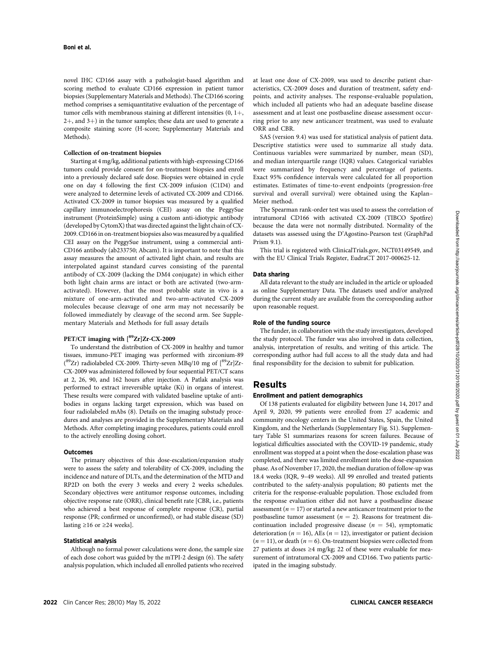novel IHC CD166 assay with a pathologist-based algorithm and scoring method to evaluate CD166 expression in patient tumor biopsies (Supplementary Materials and Methods). The CD166 scoring method comprises a semiquantitative evaluation of the percentage of tumor cells with membranous staining at different intensities  $(0, 1+)$ ,  $2+$ , and  $3+$ ) in the tumor samples; these data are used to generate a composite staining score (H-score; Supplementary Materials and Methods).

#### Collection of on-treatment biopsies

Starting at 4 mg/kg, additional patients with high-expressing CD166 tumors could provide consent for on-treatment biopsies and enroll into a previously declared safe dose. Biopsies were obtained in cycle one on day 4 following the first CX-2009 infusion (C1D4) and were analyzed to determine levels of activated CX-2009 and CD166. Activated CX-2009 in tumor biopsies was measured by a qualified capillary immunoelectrophoresis (CEI) assay on the PeggySue instrument (ProteinSimple) using a custom anti-idiotypic antibody (developed by CytomX) that was directed against the light chain of CX-2009. CD166 in on-treatment biopsies also was measured by a qualified CEI assay on the PeggySue instrument, using a commercial anti-CD166 antibody (ab233750; Abcam). It is important to note that this assay measures the amount of activated light chain, and results are interpolated against standard curves consisting of the parental antibody of CX-2009 (lacking the DM4 conjugate) in which either both light chain arms are intact or both are activated (two-armactivated). However, that the most probable state in vivo is a mixture of one-arm-activated and two-arm-activated CX-2009 molecules because cleavage of one arm may not necessarily be followed immediately by cleavage of the second arm. See Supplementary Materials and Methods for full assay details

# PET/CT imaging with  $[{}^{89}Zr]Zr$ -CX-2009

To understand the distribution of CX-2009 in healthy and tumor tissues, immuno-PET imaging was performed with zirconium-89 (<sup>89</sup>Zr) radiolabeled CX-2009. Thirty-seven MBq/10 mg of [<sup>89</sup>Zr]Zr-CX-2009 was administered followed by four sequential PET/CT scans at 2, 26, 90, and 162 hours after injection. A Patlak analysis was performed to extract irreversible uptake (Ki) in organs of interest. These results were compared with validated baseline uptake of antibodies in organs lacking target expression, which was based on four radiolabeled mAbs (8). Details on the imaging substudy procedures and analyses are provided in the Supplementary Materials and Methods. After completing imaging procedures, patients could enroll to the actively enrolling dosing cohort.

#### **Outcomes**

The primary objectives of this dose-escalation/expansion study were to assess the safety and tolerability of CX-2009, including the incidence and nature of DLTs, and the determination of the MTD and RP2D on both the every 3 weeks and every 2 weeks schedules. Secondary objectives were antitumor response outcomes, including objective response rate (ORR), clinical benefit rate [CBR, i.e., patients who achieved a best response of complete response (CR), partial response (PR; confirmed or unconfirmed), or had stable disease (SD) lasting  $\geq 16$  or  $\geq 24$  weeks].

#### Statistical analysis

Although no formal power calculations were done, the sample size of each dose cohort was guided by the mTPI-2 design (6). The safety analysis population, which included all enrolled patients who received at least one dose of CX-2009, was used to describe patient characteristics, CX-2009 doses and duration of treatment, safety endpoints, and activity analyses. The response-evaluable population, which included all patients who had an adequate baseline disease assessment and at least one postbaseline disease assessment occurring prior to any new anticancer treatment, was used to evaluate ORR and CBR.

SAS (version 9.4) was used for statistical analysis of patient data. Descriptive statistics were used to summarize all study data. Continuous variables were summarized by number, mean (SD), and median interquartile range (IQR) values. Categorical variables were summarized by frequency and percentage of patients. Exact 95% confidence intervals were calculated for all proportion estimates. Estimates of time-to-event endpoints (progression-free survival and overall survival) were obtained using the Kaplan– Meier method.

The Spearman rank-order test was used to assess the correlation of intratumoral CD166 with activated CX-2009 (TIBCO Spotfire) because the data were not normally distributed. Normality of the datasets was assessed using the D'Agostino-Pearson test (GraphPad Prism 9.1).

This trial is registered with ClinicalTrials.gov, NCT03149549, and with the EU Clinical Trials Register, EudraCT 2017-000625-12.

#### Data sharing

All data relevant to the study are included in the article or uploaded as online Supplementary Data. The datasets used and/or analyzed during the current study are available from the corresponding author upon reasonable request.

#### Role of the funding source

The funder, in collaboration with the study investigators, developed the study protocol. The funder was also involved in data collection, analysis, interpretation of results, and writing of this article. The corresponding author had full access to all the study data and had final responsibility for the decision to submit for publication.

# Results

#### Enrollment and patient demographics

Of 138 patients evaluated for eligibility between June 14, 2017 and April 9, 2020, 99 patients were enrolled from 27 academic and community oncology centers in the United States, Spain, the United Kingdom, and the Netherlands (Supplementary Fig. S1). Supplementary Table S1 summarizes reasons for screen failures. Because of logistical difficulties associated with the COVID-19 pandemic, study enrollment was stopped at a point when the dose-escalation phase was completed, and there was limited enrollment into the dose-expansion phase. As of November 17, 2020, the median duration of follow-up was 18.4 weeks (IQR, 9–49 weeks). All 99 enrolled and treated patients contributed to the safety-analysis population; 80 patients met the criteria for the response-evaluable population. Those excluded from the response evaluation either did not have a postbaseline disease assessment ( $n = 17$ ) or started a new anticancer treatment prior to the postbaseline tumor assessment ( $n = 2$ ). Reasons for treatment discontinuation included progressive disease ( $n = 54$ ), symptomatic deterioration ( $n = 16$ ), AEs ( $n = 12$ ), investigator or patient decision  $(n = 11)$ , or death  $(n = 6)$ . On-treatment biopsies were collected from 27 patients at doses ≥4 mg/kg; 22 of these were evaluable for measurement of intratumoral CX-2009 and CD166. Two patients participated in the imaging substudy.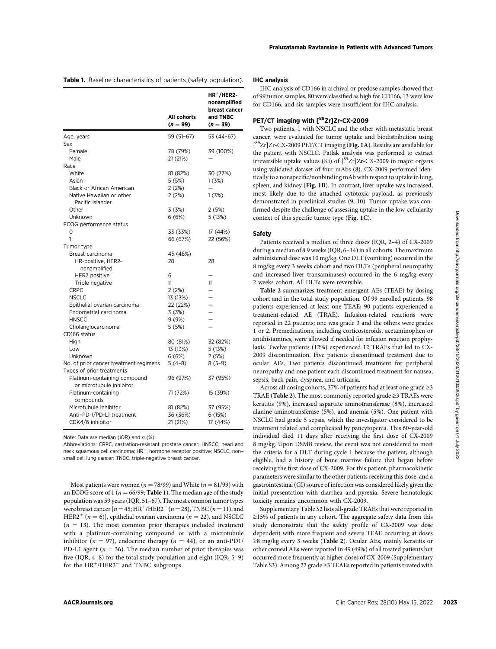Table 1. Baseline characteristics of patients (safety population).

|                                                                                              |                           |                          | THU analysis of UDT66 in archival or predose samples showed that                 |
|----------------------------------------------------------------------------------------------|---------------------------|--------------------------|----------------------------------------------------------------------------------|
|                                                                                              |                           | $HR+/HER2-$              | of 99 tumor samples, 80 were classified as high for CD166, 13 were low           |
|                                                                                              |                           | nonamplified             | for CD166, and six samples were insufficient for IHC analysis.                   |
|                                                                                              |                           | breast cancer            |                                                                                  |
|                                                                                              | All cohorts<br>$(n = 99)$ | and TNBC<br>$(n = 39)$   | PET/CT imaging with [89Zr]Zr-CX-2009                                             |
|                                                                                              |                           |                          | Two patients, 1 with NSCLC and the other with metastatic breast                  |
| Age, years                                                                                   | 59 (51-67)                | 53 (44-67)               | cancer, were evaluated for tumor uptake and biodistribution using                |
| Sex                                                                                          |                           |                          | $[{}^{89}Zr]Zr$ -CX-2009 PET/CT imaging (Fig. 1A). Results are available for     |
| Female                                                                                       | 78 (79%)                  | 39 (100%)                | the patient with NSCLC. Patlak analysis was performed to extract                 |
| Male                                                                                         | 21 (21%)                  |                          | irreversible uptake values (Ki) of [ <sup>89</sup> Zr]Zr-CX-2009 in major organs |
| Race                                                                                         |                           |                          | using validated dataset of four mAbs (8). CX-2009 performed iden-                |
| White                                                                                        | 81 (82%)                  | 30 (77%)                 | tically to a nonspecific/nonbinding mAb with respect to uptake in lung,          |
| Asian                                                                                        | 5(5%)                     | 1(3%)                    | spleen, and kidney (Fig. 1B). In contrast, liver uptake was increased,           |
| Black or African American                                                                    | 2(2%)                     |                          |                                                                                  |
| Native Hawaiian or other                                                                     | 2(2%)                     | 1(3%)                    | most likely due to the attached cytotoxic payload, as previously                 |
| Pacific Islander                                                                             |                           |                          | demonstrated in preclinical studies (9, 10). Tumor uptake was con-               |
| Other                                                                                        | 3(3%)                     | 2(5%)                    | firmed despite the challenge of assessing uptake in the low-cellularity          |
| Unknown                                                                                      | 6(6%)                     | 5 (13%)                  | context of this specific tumor type (Fig. 1C).                                   |
| ECOG performance status                                                                      |                           |                          |                                                                                  |
| 0                                                                                            | 33 (33%)                  | 17 (44%)                 | Safety                                                                           |
| 1                                                                                            | 66 (67%)                  | 22 (56%)                 | Patients received a median of three doses (IQR, 2-4) of CX-2009                  |
| Tumor type                                                                                   |                           |                          | during a median of 8.9 weeks (IQR, 6-14) in all cohorts. The maximum             |
| Breast carcinoma                                                                             | 45 (46%)                  |                          |                                                                                  |
| HR-positive, HER2-                                                                           | 28                        | 28                       | administered dose was 10 mg/kg. One DLT (vomiting) occurred in the               |
| nonamplified                                                                                 |                           |                          | 8 mg/kg every 3 weeks cohort and two DLTs (peripheral neuropathy                 |
| HER2 positive                                                                                | 6                         | -                        | and increased liver transaminases) occurred in the 6 mg/kg every                 |
| Triple negative                                                                              | 11                        | 11                       | 2 weeks cohort. All DLTs were reversible.                                        |
| <b>CRPC</b>                                                                                  | 2(2%)                     | $\overline{\phantom{0}}$ | Table 2 summarizes treatment-emergent AEs (TEAE) by dosing                       |
| <b>NSCLC</b>                                                                                 | 13 (13%)                  | -                        | cohort and in the total study population. Of 99 enrolled patients, 98            |
| Epithelial ovarian carcinoma                                                                 | 22 (22%)                  | -                        | patients experienced at least one TEAE; 90 patients experienced a                |
| Endometrial carcinoma                                                                        | 3(3%)                     | -                        |                                                                                  |
| <b>HNSCC</b>                                                                                 | 9(9%)                     |                          | treatment-related AE (TRAE). Infusion-related reactions were                     |
| Cholangiocarcinoma                                                                           | 5(5%)                     | $\overline{\phantom{0}}$ | reported in 22 patients; one was grade 3 and the others were grades              |
| CD166 status                                                                                 |                           |                          | 1 or 2. Premedications, including corticosteroids, acetaminophen or              |
| High                                                                                         | 80 (81%)                  | 32 (82%)                 | antihistamines, were allowed if needed for infusion reaction prophy-             |
| Low                                                                                          | 13 (13%)                  | 5 (13%)                  | laxis. Twelve patients (12%) experienced 12 TRAEs that led to CX-                |
| Unknown                                                                                      | 6(6%)                     | 2(5%)                    | 2009 discontinuation. Five patients discontinued treatment due to                |
| No. of prior cancer treatment regimens                                                       | $5(4-8)$                  | $8(5-9)$                 | ocular AEs. Two patients discontinued treatment for peripheral                   |
| Types of prior treatments                                                                    |                           |                          |                                                                                  |
| Platinum-containing compound                                                                 | 96 (97%)                  | 37 (95%)                 | neuropathy and one patient each discontinued treatment for nausea,               |
| or microtubule inhibitor                                                                     |                           |                          | sepsis, back pain, dyspnea, and urticaria.                                       |
| Platinum-containing                                                                          | 71 (72%)                  | 15 (39%)                 | Across all dosing cohorts, 37% of patients had at least one grade $\geq$ 3       |
| compounds                                                                                    |                           |                          | TRAE (Table 2). The most commonly reported grade $\geq$ 3 TRAEs were             |
| Microtubule inhibitor                                                                        | 81 (82%)                  | 37 (95%)                 | keratitis (9%), increased aspartate aminotransferase (8%), increased             |
|                                                                                              |                           | 6 (15%)                  | alanine aminotransferase (5%), and anemia (5%). One patient with                 |
| Anti-PD-1/PD-L1 treatment<br>CDK4/6 inhibitor                                                | 36 (36%)                  |                          | NSCLC had grade 5 sepsis, which the investigator considered to be                |
|                                                                                              | 21 (21%)                  | 17 (44%)                 | treatment related and complicated by pancytopenia. This 60-year-old              |
|                                                                                              |                           |                          | individual died 11 days after receiving the first dose of CX-2009                |
| Note: Data are median (IQR) and $n$ (%).                                                     |                           |                          |                                                                                  |
| Abbreviations: CRPC, castration-resistant prostate cancer; HNSCC, head and                   |                           |                          | 8 mg/kg. Upon DSMB review, the event was not considered to meet                  |
| neck squamous cell carcinoma; HR <sup>+</sup> , hormone receptor positive; NSCLC, non-       |                           |                          | the criteria for a DLT during cycle 1 because the patient, although              |
| small cell lung cancer; TNBC, triple-negative breast cancer.                                 |                           |                          | eligible, had a history of bone marrow failure that began before                 |
|                                                                                              |                           |                          | receiving the first dose of CX-2009. For this patient, pharmacokinetic           |
|                                                                                              |                           |                          | parameters were similar to the other patients receiving this dose, and a         |
| Most patients were women ( $n = 78/99$ ) and White ( $n = 81/99$ ) with                      |                           |                          | gastrointestinal (GI) source of infection was considered likely given the        |
|                                                                                              |                           |                          |                                                                                  |
| an ECOG score of 1 ( $n = 66/99$ ; Table 1). The median age of the study                     |                           |                          | initial presentation with diarrhea and pyrexia. Severe hematologic               |
| population was 59 years (IQR, 51-67). The most common tumor types                            |                           |                          | toxicity remains uncommon with CX-2009.                                          |
| were breast cancer $[n = 45; HR^{+}/HER2^{-} (n = 28)$ , TNBC $(n = 11)$ , and               |                           |                          | Supplementary Table S2 lists all-grade TRAEs that were reported in               |
| HER2 <sup>+</sup> ( <i>n</i> = 6)], epithelial ovarian carcinoma ( <i>n</i> = 22), and NSCLC |                           |                          | $\geq$ 15% of patients in any cohort. The aggregate safety data from this        |
| $(n = 13)$ . The most common prior therapies included treatment                              |                           |                          | study demonstrate that the safety profile of CX-2009 was dose                    |
|                                                                                              |                           |                          |                                                                                  |
| with a platinum-containing compound or with a microtubule                                    |                           |                          | dependent with more frequent and severe TEAE occurring at doses                  |
| inhibitor ( $n = 97$ ), endocrine therapy ( $n = 44$ ), or an anti-PD1/                      |                           |                          | $\geq$ 8 mg/kg every 3 weeks (Table 2). Ocular AEs, mainly keratitis or          |
| PD-L1 agent ( $n = 36$ ). The median number of prior therapies was                           |                           |                          | other corneal AEs were reported in 49 (49%) of all treated patients but          |
| five $(IQR, 4-8)$ for the total study population and eight $(IQR, 5-9)$                      |                           |                          | occurred more frequently at higher doses of CX-2009 (Supplementary               |
| for the $HR^+/HER2^-$ and TNBC subgroups.                                                    |                           |                          | Table S3). Among 22 grade $\geq$ 3 TEAEs reported in patients treated with       |
|                                                                                              |                           |                          |                                                                                  |
|                                                                                              |                           |                          |                                                                                  |
|                                                                                              |                           |                          |                                                                                  |
|                                                                                              |                           |                          |                                                                                  |
| AACRJournals.org                                                                             |                           |                          | Clin Cancer Res; 28(10) May 15, 2022                                             |

#### IHC analysis

IHC analysis of CD166 in archival or predose samples showed that of 99 tumor samples, 80 were classified as high for CD166, 13 were low for CD166, and six samples were insufficient for IHC analysis.

# PET/CT imaging with [89Zr]Zr-CX-2009

#### Safety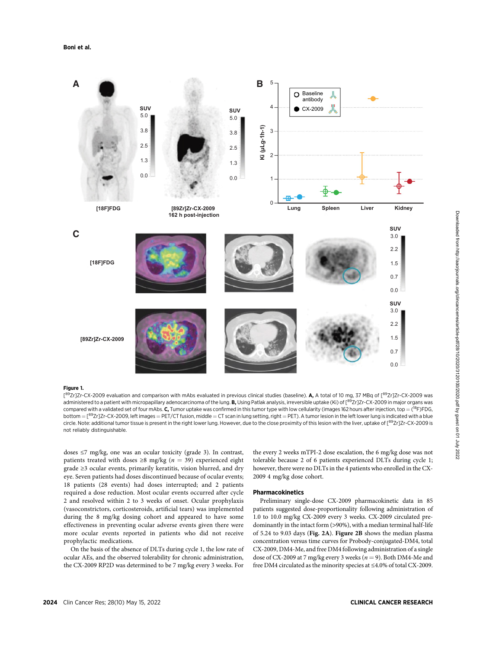

#### Figure 1.

[<sup>89</sup>Zr]Zr-CX-2009 evaluation and comparison with mAbs evaluated in previous clinical studies (baseline). **A,** A total of 10 mg, 37 MBq of [<sup>89</sup>Zr]Zr-CX-2009 was administered to a patient with micropapillary adenocarcinoma of the lung. B, Using Patlak analysis, irreversible uptake (Ki) of [<sup>89</sup>Zr]Zr-CX-2009 in major organs was compared with a validated set of four mAbs. **C,** Tumor uptake was confirmed in this tumor type with low cellularity (images 162 hours after injection, top = (<sup>18</sup>F)FDG, bottom  $=$  [ $^{89}$ Zr]Zr-CX-2009, left images  $=$  PET/CT fusion, middle  $=$  CT scan in lung setting, right  $=$  PET). A tumor lesion in the left lower lung is indicated with a blue circle. Note: additional tumor tissue is present in the right lower lung. However, due to the close proximity of this lesion with the liver, uptake of [89Zr]Zr-CX-2009 is not reliably distinguishable.

doses ≤7 mg/kg, one was an ocular toxicity (grade 3). In contrast, patients treated with doses  $\geq 8$  mg/kg ( $n = 39$ ) experienced eight grade ≥3 ocular events, primarily keratitis, vision blurred, and dry eye. Seven patients had doses discontinued because of ocular events; 18 patients (28 events) had doses interrupted; and 2 patients required a dose reduction. Most ocular events occurred after cycle 2 and resolved within 2 to 3 weeks of onset. Ocular prophylaxis (vasoconstrictors, corticosteroids, artificial tears) was implemented during the 8 mg/kg dosing cohort and appeared to have some effectiveness in preventing ocular adverse events given there were more ocular events reported in patients who did not receive prophylactic medications.

On the basis of the absence of DLTs during cycle 1, the low rate of ocular AEs, and the observed tolerability for chronic administration, the CX-2009 RP2D was determined to be 7 mg/kg every 3 weeks. For

the every 2 weeks mTPI-2 dose escalation, the 6 mg/kg dose was not tolerable because 2 of 6 patients experienced DLTs during cycle 1; however, there were no DLTs in the 4 patients who enrolled in the CX-2009 4 mg/kg dose cohort.

#### Pharmacokinetics

Preliminary single-dose CX-2009 pharmacokinetic data in 85 patients suggested dose-proportionality following administration of 1.0 to 10.0 mg/kg CX-2009 every 3 weeks. CX-2009 circulated predominantly in the intact form (>90%), with a median terminal half-life of 5.24 to 9.03 days (Fig. 2A). Figure 2B shows the median plasma concentration versus time curves for Probody-conjugated-DM4, total CX-2009, DM4-Me, and free DM4 following administration of a single dose of CX-2009 at 7 mg/kg every 3 weeks ( $n = 9$ ). Both DM4-Me and free DM4 circulated as the minority species at ≤4.0% of total CX-2009.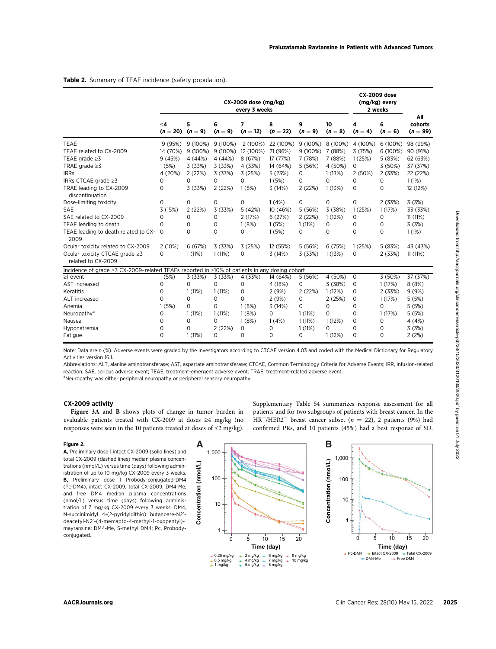|                                                                                                                                                                                                                                                                                                                                                                                                                                                                                                                                                                                                                                                                               | CX-2009 dose (mg/kg)<br>every 3 weeks                                                   |                                                                                               |                                                                                                |                                                                                                           |                                                                                                                                                                                                          |                                                                                                     |                                                                                                   | <b>CX-2009 dose</b><br>(mg/kg) every<br>2 weeks                                  |                                                                                               |                                                                                                                        |
|-------------------------------------------------------------------------------------------------------------------------------------------------------------------------------------------------------------------------------------------------------------------------------------------------------------------------------------------------------------------------------------------------------------------------------------------------------------------------------------------------------------------------------------------------------------------------------------------------------------------------------------------------------------------------------|-----------------------------------------------------------------------------------------|-----------------------------------------------------------------------------------------------|------------------------------------------------------------------------------------------------|-----------------------------------------------------------------------------------------------------------|----------------------------------------------------------------------------------------------------------------------------------------------------------------------------------------------------------|-----------------------------------------------------------------------------------------------------|---------------------------------------------------------------------------------------------------|----------------------------------------------------------------------------------|-----------------------------------------------------------------------------------------------|------------------------------------------------------------------------------------------------------------------------|
|                                                                                                                                                                                                                                                                                                                                                                                                                                                                                                                                                                                                                                                                               | ≤4<br>$(n = 20)$ $(n = 9)$                                                              | 5                                                                                             | 6<br>$(n = 9)$                                                                                 | 7<br>$(n = 12)$                                                                                           | 8<br>$(n = 22)$                                                                                                                                                                                          | 9<br>$(n = 9)$                                                                                      | 10<br>$(n = 8)$                                                                                   | 4<br>$(n=4)$                                                                     | 6<br>$(n = 6)$                                                                                | All<br>cohorts<br>$(n = 99)$                                                                                           |
| TEAE<br>TEAE related to CX-2009<br>TEAE grade $\geq$ 3<br>TRAE grade $\geq$ 3<br><b>IRRs</b><br>IRRs CTCAE grade ≥3<br>TRAE leading to CX-2009<br>discontinuation<br>Dose-limiting toxicity<br>SAE<br>SAE related to CX-2009<br>TEAE leading to death                                                                                                                                                                                                                                                                                                                                                                                                                         | 19 (95%)<br>14 (70%)<br>9 (45%)<br>1(5%)<br>4 (20%)<br>0<br>0<br>0<br>3 (15%)<br>0<br>0 | 9 (100%)<br>9 (100%)<br>4 (44%)<br>3 (33%)<br>2(22%)<br>0<br>3 (33%)<br>0<br>2(22%)<br>0<br>0 | 9 (100%)<br>9 (100%)<br>4 (44%)<br>3 (33%)<br>3 (33%)<br>0<br>2(22%)<br>0<br>3 (33%)<br>0<br>0 | 12 (100%)<br>12 (100%)<br>8 (67%)<br>4 (33%)<br>3 (25%)<br>0<br>1(8%)<br>0<br>5 (42%)<br>2 (17%)<br>1(8%) | 22 (100%)<br>21 (96%)<br>17 (77%)<br>14 (64%)<br>5 (23%)<br>1(5%)<br>3 (14%)<br>1(4%)<br>10 (46%)<br>6 (27%)<br>1(5%)                                                                                    | 9 (100%)<br>9 (100%)<br>7 (78%)<br>5 (56%)<br>0<br>0<br>2(22%)<br>0<br>5 (56%)<br>2 (22%)<br>1(11%) | 8 (100%)<br>7 (88%)<br>7 (88%)<br>4 (50%)<br>1(13%)<br>0<br>1(13%)<br>0<br>3 (38%)<br>1(12%)<br>0 | 4 (100%)<br>3 (75%)<br>1(25%)<br>0<br>2 (50%)<br>0<br>0<br>0<br>1(25%)<br>0<br>0 | 6 (100%)<br>6 (100%)<br>5 (83%)<br>3 (50%)<br>2(33%)<br>0<br>0<br>2 (33%)<br>1(17%)<br>0<br>0 | 98 (99%)<br>90 (91%)<br>62 (63%)<br>37 (37%)<br>22 (22%)<br>1(1%)<br>12 (12%)<br>3(3%)<br>33 (33%)<br>11(11%)<br>3(3%) |
| TEAE leading to death related to CX- 0<br>2009<br>Ocular toxicity related to CX-2009<br>Ocular toxicity CTCAE grade ≥3<br>related to CX-2009                                                                                                                                                                                                                                                                                                                                                                                                                                                                                                                                  | 2 (10%)<br>0                                                                            | 0<br>6(67%)<br>1(11%)                                                                         | 0<br>3 (33%)<br>1(11%)                                                                         | 0<br>3 (25%)<br>0                                                                                         | 1(5%)<br>12 (55%)<br>3 (14%)                                                                                                                                                                             | 0<br>5 (56%)<br>3 (33%)                                                                             | 0<br>6 (75%)<br>1(13%)                                                                            | 0<br>1(25%)<br>0                                                                 | 0<br>5 (83%)<br>2 (33%)                                                                       | 1(1%)<br>43 (43%)<br>11(11%)                                                                                           |
| Incidence of grade $\geq 3$ CX-2009-related TEAEs reported in $\geq 10\%$ of patients in any dosing cohort                                                                                                                                                                                                                                                                                                                                                                                                                                                                                                                                                                    |                                                                                         |                                                                                               |                                                                                                |                                                                                                           |                                                                                                                                                                                                          |                                                                                                     |                                                                                                   |                                                                                  |                                                                                               |                                                                                                                        |
| ≥1 event<br>AST increased<br>Keratitis<br><b>ALT</b> increased<br>Anemia<br>Neuropathy <sup>a</sup><br>Nausea<br>Hyponatremia<br>Fatigue                                                                                                                                                                                                                                                                                                                                                                                                                                                                                                                                      | 1(5%)<br>0<br>0<br>0<br>1(5%)<br>0<br>0<br>0<br>0                                       | 3 (33%)<br>0<br>1(11%)<br>0<br>0<br>1(11%)<br>0<br>0<br>1(11%)                                | 3 (33%)<br>0<br>1(11%)<br>0<br>0<br>1(11%)<br>0<br>2(22%)<br>0                                 | 4 (33%)<br>0<br>0<br>0<br>1(8%)<br>1(8%)<br>1(8%)<br>0<br>0                                               | 14 (64%)<br>4 (18%)<br>2 (9%)<br>2(9%)<br>3 (14%)<br>0<br>1(4%)<br>0<br>0                                                                                                                                | 5 (56%)<br>0<br>2 (22%)<br>0<br>0<br>1(11%)<br>1(11%)<br>1(11%)<br>0                                | 4 (50%)<br>3 (38%)<br>1(12%)<br>2(25%)<br>0<br>0<br>1(12%)<br>0<br>1(12%)                         | 0<br>0<br>0<br>0<br>0<br>0<br>0<br>0<br>0                                        | 3 (50%)<br>1(17%)<br>2(33%)<br>1(17%)<br>0<br>1(17%)<br>0<br>0<br>0                           | 37 (37%)<br>8(8%)<br>9(9%)<br>5(5%)<br>5 (5%)<br>5 (5%)<br>4 (4%)<br>3 (3%)<br>2(2%)                                   |
| reaction; SAE, serious adverse event; TEAE, treatment-emergent adverse event; TRAE, treatment-related adverse event.<br><sup>a</sup> Neuropathy was either peripheral neuropathy or peripheral sensory neuropathy.<br>CX-2009 activity<br>Figure 3A and B shows plots of change in tumor burden in<br>evaluable patients treated with CX-2009 at doses ≥4 mg/kg (no<br>responses were seen in the 10 patients treated at doses of $\leq$ 2 mg/kg).                                                                                                                                                                                                                            |                                                                                         |                                                                                               |                                                                                                |                                                                                                           | Supplementary Table S4 summarizes response assessment for all<br>$HR^{+}/HER2^{-}$ breast cancer subset (n = 22), 2 patients (9%) had<br>confirmed PRs, and 10 patients (45%) had a best response of SD. |                                                                                                     |                                                                                                   |                                                                                  |                                                                                               | patients and for two subgroups of patients with breast cancer. In the                                                  |
| Figure 2.<br>A, Preliminary dose 1 intact CX-2009 (solid lines) and<br>total CX-2009 (dashed lines) median plasma concen-<br>trations (nmol/L) versus time (davs) following admin-<br>istration of up to 10 mg/kg CX-2009 every 3 weeks.<br><b>B,</b> Preliminary dose 1 Probody-conjugated-DM4<br>(Pc-DM4), intact CX-2009, total CX-2009, DM4-Me,<br>and free DM4 median plasma concentrations<br>(nmol/L) versus time (days) following adminis-<br>tration of 7 mg/kg CX-2009 every 3 weeks. DM4,<br>N-succinimidyl 4-(2-pyridyldithio) butanoate-N2'-<br>deacetyl-N2'-(4-mercapto-4-methyl-1-oxopentyl)-<br>maytansine; DM4-Me, S-methyl DM4; Pc, Probody-<br>conjugated. |                                                                                         | A<br>Concentration (nmol/L)                                                                   | 1,000<br>100<br>10<br>1<br>0<br>$+0.25$ mg/kg<br>$+0.5$ mg/kg<br>$+1$ mg/kg                    | 5<br>10<br>Time (day)<br>$+ 2$ mg/kg $+ 6$ mg/kg<br>$+$ 4 mg/kg $+$ 7 mg/kg<br>$+ 5$ mg/kg $+ 8$ mg/kg    | 15<br>$\rightarrow$<br>÷                                                                                                                                                                                 | 20<br>9 mg/kg<br>10 mg/kg                                                                           | B<br>1,000<br>Concentration (nmol/L)<br>100<br>10<br>1                                            | 5<br>0<br>$-$ -Pc-DM4<br>$-$ -DM4-Me                                             | 10<br>Time (day)<br>-- Free DM4                                                               | 20<br>15<br>→ Intact CX-2009 → Total CX-2009                                                                           |
| <b>AACRJournals.org</b>                                                                                                                                                                                                                                                                                                                                                                                                                                                                                                                                                                                                                                                       |                                                                                         |                                                                                               |                                                                                                |                                                                                                           |                                                                                                                                                                                                          |                                                                                                     |                                                                                                   |                                                                                  |                                                                                               | Clin Cancer Res; 28(10) May 15, 2022                                                                                   |

# CX-2009 activity



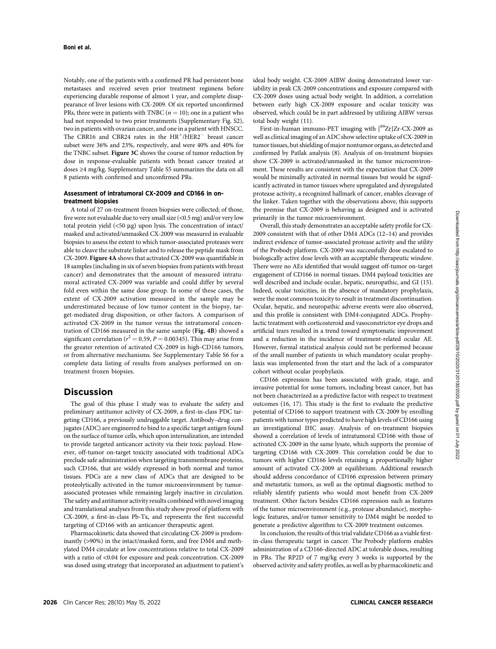Notably, one of the patients with a confirmed PR had persistent bone metastases and received seven prior treatment regimens before experiencing durable response of almost 1 year, and complete disappearance of liver lesions with CX-2009. Of six reported unconfirmed PRs, three were in patients with TNBC  $(n = 10)$ ; one in a patient who had not responded to two prior treatments (Supplementary Fig. S2), two in patients with ovarian cancer, and one in a patient with HNSCC. The CBR16 and CBR24 rates in the  $HR<sup>+</sup>/HER2<sup>-</sup>$  breast cancer subset were 36% and 23%, respectively, and were 40% and 40% for the TNBC subset. Figure 3C shows the course of tumor reduction by dose in response-evaluable patients with breast cancer treated at doses ≥4 mg/kg. Supplementary Table S5 summarizes the data on all 8 patients with confirmed and unconfirmed PRs.

### Assessment of intratumoral CX-2009 and CD166 in ontreatment biopsies

A total of 27 on-treatment frozen biopsies were collected; of those, five were not evaluable due to very small size (<0.5 mg) and/or very low total protein yield  $(\leq 50 \text{ µg})$  upon lysis. The concentration of intact/ masked and activated/unmasked CX-2009 was measured in evaluable biopsies to assess the extent to which tumor-associated proteases were able to cleave the substrate linker and to release the peptide mask from CX-2009. Figure 4A shows that activated CX-2009 was quantifiable in 18 samples (including in six of seven biopsies from patients with breast cancer) and demonstrates that the amount of measured intratumoral activated CX-2009 was variable and could differ by several fold even within the same dose group. In some of these cases, the extent of CX-2009 activation measured in the sample may be underestimated because of low tumor content in the biopsy, target-mediated drug disposition, or other factors. A comparison of activated CX-2009 in the tumor versus the intratumoral concentration of CD166 measured in the same sample (Fig. 4B) showed a significant correlation ( $r^2 = 0.59$ ,  $P = 0.00345$ ). This may arise from the greater retention of activated CX-2009 in high-CD166 tumors, or from alternative mechanisms. See Supplementary Table S6 for a complete data listing of results from analyses performed on ontreatment frozen biopsies.

# **Discussion**

The goal of this phase I study was to evaluate the safety and preliminary antitumor activity of CX-2009, a first-in-class PDC targeting CD166, a previously undruggable target. Antibody–drug conjugates (ADC) are engineered to bind to a specific target antigen found on the surface of tumor cells, which upon internalization, are intended to provide targeted anticancer activity via their toxic payload. However, off-tumor on-target toxicity associated with traditional ADCs preclude safe administration when targeting transmembrane proteins, such CD166, that are widely expressed in both normal and tumor tissues. PDCs are a new class of ADCs that are designed to be proteolytically activated in the tumor microenvironment by tumorassociated proteases while remaining largely inactive in circulation. The safety and antitumor activity results combined with novel imaging and translational analyses from this study show proof of platform with CX-2009, a first-in-class Pb-Tx, and represents the first successful targeting of CD166 with an anticancer therapeutic agent.

Pharmacokinetic data showed that circulating CX-2009 is predominantly (>90%) in the intact/masked form, and free DM4 and methylated DM4 circulate at low concentrations relative to total CX-2009 with a ratio of <0.04 for exposure and peak concentration. CX-2009 was dosed using strategy that incorporated an adjustment to patient's ideal body weight. CX-2009 AIBW dosing demonstrated lower variability in peak CX-2009 concentrations and exposure compared with CX-2009 doses using actual body weight. In addition, a correlation between early high CX-2009 exposure and ocular toxicity was observed, which could be in part addressed by utilizing AIBW versus total body weight (11).

First-in-human immuno-PET imaging with  $[892r]Zr-CX-2009$  as well as clinical imaging of an ADC show selective uptake of CX-2009 in tumor tissues, but shielding of major nontumor organs, as detected and confirmed by Patlak analysis (8). Analysis of on-treatment biopsies show CX-2009 is activated/unmasked in the tumor microenvironment. These results are consistent with the expectation that CX-2009 would be minimally activated in normal tissues but would be significantly activated in tumor tissues where upregulated and dysregulated protease activity, a recognized hallmark of cancer, enables cleavage of the linker. Taken together with the observations above, this supports the premise that CX-2009 is behaving as designed and is activated primarily in the tumor microenvironment.

Overall, this study demonstrates an acceptable safety profile for CX-2009 consistent with that of other DM4 ADCs (12–14) and provides indirect evidence of tumor-associated protease activity and the utility of the Probody platform. CX-2009 was successfully dose escalated to biologically active dose levels with an acceptable therapeutic window. There were no AEs identified that would suggest off-tumor on-target engagement of CD166 in normal tissues. DM4 payload toxicities are well described and include ocular, hepatic, neuropathic, and GI (15). Indeed, ocular toxicities, in the absence of mandatory prophylaxis, were the most common toxicity to result in treatment discontinuation. Ocular, hepatic, and neuropathic adverse events were also observed, and this profile is consistent with DM4-conjugated ADCs. Prophylactic treatment with corticosteroid and vasoconstrictor eye drops and artificial tears resulted in a trend toward symptomatic improvement and a reduction in the incidence of treatment-related ocular AE. However, formal statistical analysis could not be performed because of the small number of patients in which mandatory ocular prophylaxis was implemented from the start and the lack of a comparator cohort without ocular prophylaxis.

CD166 expression has been associated with grade, stage, and invasive potential for some tumors, including breast cancer, but has not been characterized as a predictive factor with respect to treatment outcomes (16, 17). This study is the first to evaluate the predictive potential of CD166 to support treatment with CX-2009 by enrolling patients with tumor types predicted to have high levels of CD166 using an investigational IHC assay. Analysis of on-treatment biopsies showed a correlation of levels of intratumoral CD166 with those of activated CX-2009 in the same lysate, which supports the promise of targeting CD166 with CX-2009. This correlation could be due to tumors with higher CD166 levels retaining a proportionally higher amount of activated CX-2009 at equilibrium. Additional research should address concordance of CD166 expression between primary and metastatic tumors, as well as the optimal diagnostic method to reliably identify patients who would most benefit from CX-2009 treatment. Other factors besides CD166 expression such as features of the tumor microenvironment (e.g., protease abundance), morphologic features, and/or tumor sensitivity to DM4 might be needed to generate a predictive algorithm to CX-2009 treatment outcomes.

In conclusion, the results of this trial validate CD166 as a viable firstin-class therapeutic target in cancer. The Probody platform enables administration of a CD166-directed ADC at tolerable doses, resulting in PRs. The RP2D of 7 mg/kg every 3 weeks is supported by the observed activity and safety profiles, as well as by pharmacokinetic and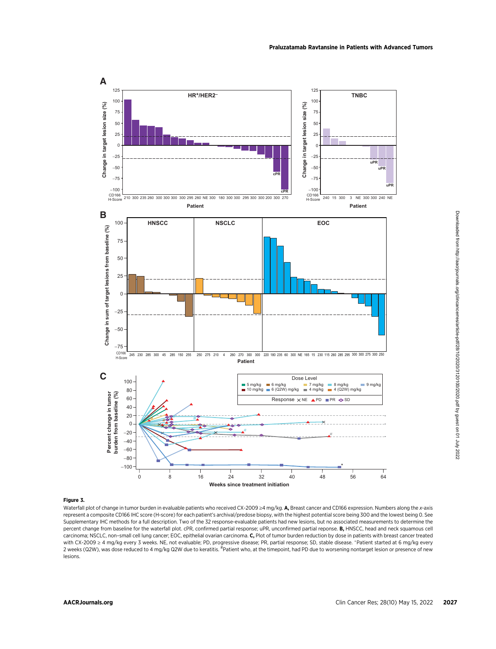

#### Figure 3.

Waterfall plot of change in tumor burden in evaluable patients who received CX-2009 ≥4 mg/kg. A, Breast cancer and CD166 expression. Numbers along the x-axis represent a composite CD166 IHC score (H-score) for each patient's archival/predose biopsy, with the highest potential score being 300 and the lowest being 0. See Supplementary IHC methods for a full description. Two of the 32 response-evaluable patients had new lesions, but no associated measurements to determine the percent change from baseline for the waterfall plot. cPR, confirmed partial response; uPR, unconfirmed partial reponse. B, HNSCC, head and neck squamous cell carcinoma; NSCLC, non–small cell lung cancer; EOC, epithelial ovarian carcinoma. C, Plot of tumor burden reduction by dose in patients with breast cancer treated with CX-2009 ≥ 4 mg/kg every 3 weeks. NE, not evaluable; PD, progressive disease; PR, partial response; SD, stable disease. Patient started at 6 mg/kg every 2 weeks (Q2W), was dose reduced to 4 mg/kg Q2W due to keratitis. <sup>#</sup>Patient who, at the timepoint, had PD due to worsening nontarget lesion or presence of new lesions.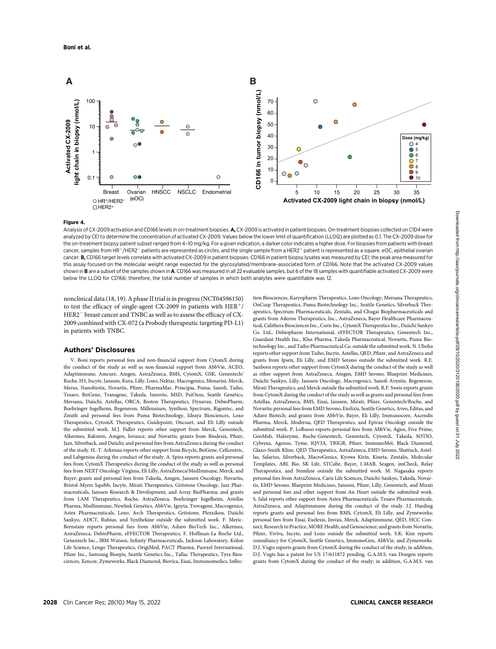

#### Figure 4.

Analysis of CX-2009 activation and CD166 levels in on-treatment biopsies. A, CX-2009 is activated in patient biopsies. On-treatment biopsies collected on C1D4 were analyzed by CEI to determine the concentration of activated CX-2009. Values below the lower limit of quantification (LLOQ) are plotted as 0.1. The CX-2009 dose for the on-treatment biopsy patient subset ranged from 4-10 mg/kg. For a given indication, a darker color indicates a higher dose. For biopsies from patients with breast cancer, samples from HR+/HER2 $^-$  patients are represented as circles, and the single sample from a HER2 $^+$  patient is represented as a square. eOC, epithelial ovarian cancer. B, CD166 target levels correlate with activated CX-2009 in patient biopsies. CD166 in patient biopsy lysates was measured by CEI; the peak area measured for this assay focused on the molecular weight range expected for the glycosylated/membrane-associated form of CD166. Note that the activated CX-2009 values shown in B are a subset of the samples shown in A. CD166 was measured in all 22 evaluable samples, but 6 of the 18 samples with quantifiable activated CX-2009 were below the LLOQ for CD166; therefore, the total number of samples in which both analytes were quantifiable was 12.

nonclinical data (18, 19). A phase II trial is in progress (NCT04596150) to test the efficacy of single-agent CX-2009 in patients with  $HER<sup>+</sup>/$ HER2<sup>-</sup> breast cancer and TNBC as well as to assess the efficacy of CX-2009 combined with CX-072 (a Probody therapeutic targeting PD-L1) in patients with TNBC.

#### Authors' Disclosures

V. Boni reports personal fees and non-financial support from CytomX during the conduct of the study as well as non-financial support from AbbVie, ACEO, Adaptimmune, Amcure, Amgen, AstraZeneca, BMS, CytomX, GSK, Genentech/ Roche, H3, Incyte, Janssen, Kura, Lilly, Loxo, Nektar, Macrogenics, Menarini, Merck, Merus, Nanobiotix, Novartis, Pfizer, PharmaMar, Principia, Puma, Sanofi, Taiho, Tesaro, BeiGene, Transgene, Takeda, Innovio, MSD, PsiOxus, Seattle Genetics, Mersana, Daiichi, Astellas, ORCA, Boston Therapeutics, Dynavax, DebioPharm, Boehringer Ingelheim, Regeneron, Millennium, Synthon, Spectrum, Rigontec, and Zenith and personal fees from Puma Biotechnology, Ideaya Biosciences, Loxo Therapeutics, CytomX Therapeutics, Guidepoint, Oncoart, and Eli Lilly outside the submitted work. M.J. Fidler reports other support from Merck, Genentech, Alkermes, Rakuten, Amgen, Iovance, and Novartis; grants from Biodesix, Pfizer, Jazz, Silverback, and Daiichi; and personal fees from AstraZeneca during the conduct of the study. H.-T. Arkenau reports other support from Bicycle, BeiGene, Cellcentric, and Labgenius during the conduct of the study. A. Spira reports grants and personal fees from CytomX Therapeutics during the conduct of the study as well as personal fees from NEXT Oncology Virginia, Eli Lilly, AstraZeneca/MedImmune, Merck, and Bayer; grants and personal fees from Takeda, Amgen, Janssen Oncology, Novartis, Bristol-Myers Squibb, Incyte, Mirati Therapeutics, Gritstone Oncology, Jazz Pharmaceuticals, Janssen Research & Development, and Array BioPharma; and grants from LAM Therapeutics, Roche, AstraZeneca, Boehringer Ingelheim, Astellas Pharma, MedImmune, Newlink Genetics, AbbVie, Ignyta, Trovagene, Macrogenics, Astex Pharmaceuticals, Loxo, Arch Therapeutics, Gritstone, Plexxikon, Daiichi Sankyo, ADCT, Rubius, and Synthekine outside the submitted work. F. Meric-Bernstam reports personal fees from AbbVie, Aduro BioTech Inc., Alkermes, AstraZeneca, DebioPharm, eFFECTOR Therapeutics, F. Hoffman-La Roche Ltd., Genentech Inc., IBM Watson, Infinity Pharmaceuticals, Jackson Laboratory, Kolon Life Science, Lengo Therapeutics, OrigiMed, PACT Pharma, Parexel International, Pfizer Inc., Samsung Bioepis, Seattle Genetics Inc., Tallac Therapeutics, Tyra Biosciences, Xencor, Zymeworks, Black Diamond, Biovica, Eisai, Immunomedics, Inflection Biosciences, Karyopharm Therapeutics, Loxo Oncology, Mersana Therapeutics, OnCusp Therapeutics, Puma Biotechnology Inc., Seattle Genetics, Silverback Therapeutics, Spectrum Pharmaceuticals, Zentalis, and Chugai Biopharmaceuticals and grants from Aileron Therapeutics, Inc., AstraZeneca, Bayer Healthcare Pharmaceutical, Calithera Biosciences Inc., Curis Inc., CytomX Therapeutics Inc., Daiichi Sankyo Co. Ltd., Debiopharm International, eFFECTOR Therapeutics, Genentech Inc., Guardant Health Inc., Klus Pharma, Takeda Pharmaceutical, Novartis, Puma Biotechnology Inc., and Taiho Pharmaceutical Co. outside the submitted work. N. Uboha reports other support from Taiho, Incyte, Astellas, QED, Pfizer, and AstraZeneca and grants from Ipsen, Eli Lilly, and EMD Serono outside the submitted work. R.E. Sanborn reports other support from CytomX during the conduct of the study as well as other support from AstraZeneca, Amgen, EMD Serono, Blueprint Medicines, Daiichi Sankyo, Lilly, Janssen Oncology, Macrogenics, Sanofi Aventis, Regeneron, Mirati Therapeutics, and Merck outside the submitted work. R.F. Sweis reports grants from CytomX during the conduct of the study as well as grants and personal fees from Astellas, AstraZeneca, BMS, Eisai, Janssen, Mirati, Pfizer, Genentech/Roche, and Novartis; personal fees from EMD Serono, Exelixis, Seattle Genetics, Aveo, Editas, and Aduro Biotech; and grants from AbbVie, Bayer, Eli Lilly, Immunocore, Ascendis Pharma, Merck, Moderna, QED Therapeutics, and Epivax Oncology outside the submitted work. P. LoRusso reports personal fees from AbbVie, Agios, Five Prime, GenMab, Halozyme, Roche-Genentech, Genentech, CytomX, Takeda, SOTIO, Cybrexa, Agenus, Tyme, IQVIA, TRIGR, Pfizer, ImmunoMet, Black Diamond, Glaxo-Smith Kline, QED Therapeutics, AstraZeneca, EMD Serono, Shattuck, Astellas, Salarius, Silverback, MacroGenics, Kyowa Kirin, Kineta, Zentalis, Molecular Templates, ABL Bio, SK Life, STCube, Bayer, I-MAB, Seagen, imCheck, Relay Therapeutics, and Stemline outside the submitted work. M. Nagasaka reports personal fees from AstraZeneca, Caris Life Sciences, Daiichi-Sankyo, Takeda, Novartis, EMD Serono, Blueprint Medicines, Janssen, Pfizer, Lilly, Genentech, and Mirati and personal fees and other support from An Heart outside the submitted work. S. Jalal reports other support from Astex Pharmaceuticals, Tesaro Pharmaceuticals, AstraZeneca, and Adaptimmune during the conduct of the study. J.J. Harding reports grants and personal fees from BMS, CytomX, Eli Lilly, and Zymeworks; personal fees from Eisai, Exelexis, Imvax, Merck, Adaptimmune, QED, HCC Connect, Research to Practice, MORE Health, and Genoscience; and grants from Novartis, Pfizer, Yiviva, Incyte, and Loxo outside the submitted work. S.K. Kim reports consultancy for CytomX, Seattle Genetics, ImmunoGen, AbbVie, and Zymeworks. D.J. Vugts reports grants from CytomX during the conduct of the study; in addition, D.J. Vugts has a patent for US 17/611872 pending. G.A.M.S. van Dongen reports grants from CytomX during the conduct of the study; in addition, G.A.M.S. van